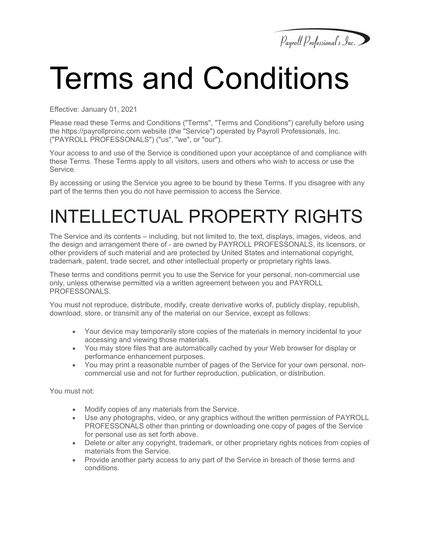

# Terms and Conditions

Effective: January 01, 2021

Please read these Terms and Conditions ("Terms", "Terms and Conditions") carefully before using the https://payrollproinc.com website (the "Service") operated by Payroll Professionals, Inc. ("PAYROLL PROFESSONALS") ("us", "we", or "our").

Your access to and use of the Service is conditioned upon your acceptance of and compliance with these Terms. These Terms apply to all visitors, users and others who wish to access or use the Service.

By accessing or using the Service you agree to be bound by these Terms. If you disagree with any part of the terms then you do not have permission to access the Service.

## INTELLECTUAL PROPERTY RIGHTS

The Service and its contents – including, but not limited to, the text, displays, images, videos, and the design and arrangement there of - are owned by PAYROLL PROFESSONALS, its licensors, or other providers of such material and are protected by United States and international copyright, trademark, patent, trade secret, and other intellectual property or proprietary rights laws.

These terms and conditions permit you to use the Service for your personal, non-commercial use only, unless otherwise permitted via a written agreement between you and PAYROLL PROFESSONALS.

You must not reproduce, distribute, modify, create derivative works of, publicly display, republish, download, store, or transmit any of the material on our Service, except as follows:

- Your device may temporarily store copies of the materials in memory incidental to your accessing and viewing those materials.
- You may store files that are automatically cached by your Web browser for display or performance enhancement purposes.
- You may print a reasonable number of pages of the Service for your own personal, noncommercial use and not for further reproduction, publication, or distribution.

You must not:

- Modify copies of any materials from the Service.
- Use any photographs, video, or any graphics without the written permission of PAYROLL PROFESSONALS other than printing or downloading one copy of pages of the Service for personal use as set forth above.
- Delete or alter any copyright, trademark, or other proprietary rights notices from copies of materials from the Service.
- Provide another party access to any part of the Service in breach of these terms and conditions.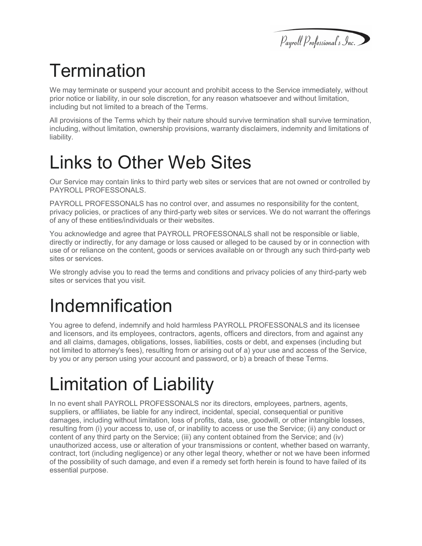### **Termination**

We may terminate or suspend your account and prohibit access to the Service immediately, without prior notice or liability, in our sole discretion, for any reason whatsoever and without limitation, including but not limited to a breach of the Terms.

All provisions of the Terms which by their nature should survive termination shall survive termination, including, without limitation, ownership provisions, warranty disclaimers, indemnity and limitations of liability.

#### Links to Other Web Sites

Our Service may contain links to third party web sites or services that are not owned or controlled by PAYROLL PROFESSONALS.

PAYROLL PROFESSONALS has no control over, and assumes no responsibility for the content, privacy policies, or practices of any third-party web sites or services. We do not warrant the offerings of any of these entities/individuals or their websites.

You acknowledge and agree that PAYROLL PROFESSONALS shall not be responsible or liable, directly or indirectly, for any damage or loss caused or alleged to be caused by or in connection with use of or reliance on the content, goods or services available on or through any such third-party web sites or services.

We strongly advise you to read the terms and conditions and privacy policies of any third-party web sites or services that you visit.

### Indemnification

You agree to defend, indemnify and hold harmless PAYROLL PROFESSONALS and its licensee and licensors, and its employees, contractors, agents, officers and directors, from and against any and all claims, damages, obligations, losses, liabilities, costs or debt, and expenses (including but not limited to attorney's fees), resulting from or arising out of a) your use and access of the Service, by you or any person using your account and password, or b) a breach of these Terms.

#### Limitation of Liability

In no event shall PAYROLL PROFESSONALS nor its directors, employees, partners, agents, suppliers, or affiliates, be liable for any indirect, incidental, special, consequential or punitive damages, including without limitation, loss of profits, data, use, goodwill, or other intangible losses, resulting from (i) your access to, use of, or inability to access or use the Service; (ii) any conduct or content of any third party on the Service; (iii) any content obtained from the Service; and (iv) unauthorized access, use or alteration of your transmissions or content, whether based on warranty, contract, tort (including negligence) or any other legal theory, whether or not we have been informed of the possibility of such damage, and even if a remedy set forth herein is found to have failed of its essential purpose.